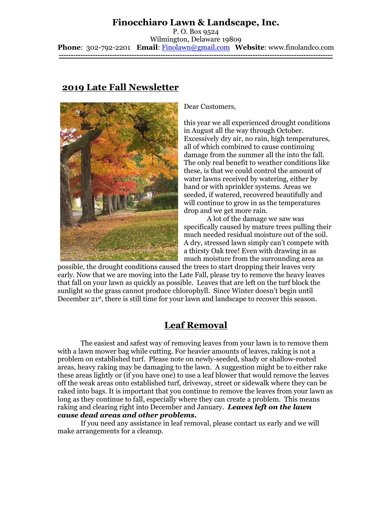## **Finocchiaro Lawn & Landscape, Inc.**

P. O. Box 9524 Wilmington, Delaware 19809 **Phone**: 302-792-2201 **Email**: [Finolawn@gmail.com](mailto:Finolawn@gmail.com) **Website**: www.finolandco.com **-----------------------------------------------------------------------------------------------------------------**

## **2019 Late Fall Newsletter**



Dear Customers,

this year we all experienced drought conditions in August all the way through October. Excessively dry air, no rain, high temperatures, all of which combined to cause continuing damage from the summer all the into the fall. The only real benefit to weather conditions like these, is that we could control the amount of water lawns received by watering, either by hand or with sprinkler systems. Areas we seeded, if watered, recovered beautifully and will continue to grow in as the temperatures drop and we get more rain.

A lot of the damage we saw was specifically caused by mature trees pulling their much needed residual moisture out of the soil. A dry, stressed lawn simply can't compete with a thirsty Oak tree! Even with drawing in as much moisture from the surrounding area as

possible, the drought conditions caused the trees to start dropping their leaves very early. Now that we are moving into the Late Fall, please try to remove the heavy leaves that fall on your lawn as quickly as possible. Leaves that are left on the turf block the sunlight so the grass cannot produce chlorophyll. Since Winter doesn't begin until December 21st, there is still time for your lawn and landscape to recover this season.

# **Leaf Removal**

The easiest and safest way of removing leaves from your lawn is to remove them with a lawn mower bag while cutting. For heavier amounts of leaves, raking is not a problem on established turf. Please note on newly-seeded, shady or shallow-rooted areas, heavy raking may be damaging to the lawn. A suggestion might be to either rake these areas lightly or (if you have one) to use a leaf blower that would remove the leaves off the weak areas onto established turf, driveway, street or sidewalk where they can be raked into bags. It is important that you continue to remove the leaves from your lawn as long as they continue to fall, especially where they can create a problem. This means raking and clearing right into December and January. *Leaves left on the lawn cause dead areas and other problems.*

If you need any assistance in leaf removal, please contact us early and we will make arrangements for a cleanup.